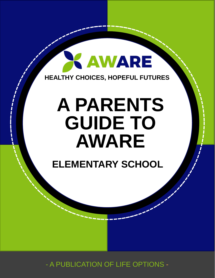### **X AWARE HEALTHY CHOICES, HOPEFUL FUTURES**

### **ALLINE TA FUTURES A PARENTS GUIDE TO AWARE**

**ELEMENTARY SCHOOL**

- A PUBLICATION OF LIFE OPTIONS -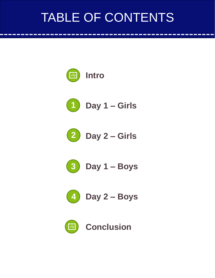## TABLE OF CONTENTS





**Day 1 – Girls**



**Day 2 – Girls**



**Day 1 – Boys**



**Day 2 – Boys**

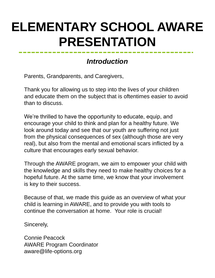### **ELEMENTARY SCHOOL AWARE PRESENTATION**

### *Introduction*

Parents, Grandparents, and Caregivers,

Thank you for allowing us to step into the lives of your children and educate them on the subject that is oftentimes easier to avoid than to discuss.

We're thrilled to have the opportunity to educate, equip, and encourage your child to think and plan for a healthy future. We look around today and see that our youth are suffering not just from the physical consequences of sex (although those are very real), but also from the mental and emotional scars inflicted by a culture that encourages early sexual behavior.

Through the AWARE program, we aim to empower your child with the knowledge and skills they need to make healthy choices for a hopeful future. At the same time, we know that your involvement is key to their success.

Because of that, we made this guide as an overview of what your child is learning in AWARE, and to provide you with tools to continue the conversation at home. Your role is crucial!

Sincerely,

Connie Peacock AWARE Program Coordinator aware@life-options.org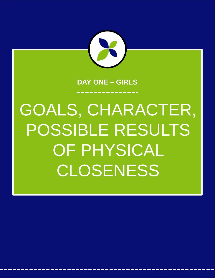

#### **DAY ONE – GIRLS**

# GOALS, CHARACTER, POSSIBLE RESULTS OF PHYSICAL CLOSENESS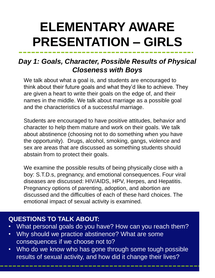## **ELEMENTARY AWARE PRESENTATION – GIRLS**

### *Day 1: Goals, Character, Possible Results of Physical Closeness with Boys*

We talk about what a goal is, and students are encouraged to think about their future goals and what they'd like to achieve. They are given a heart to write their goals on the edge of, and their names in the middle. We talk about marriage as a possible goal and the characteristics of a successful marriage.

Students are encouraged to have positive attitudes, behavior and character to help them mature and work on their goals. We talk about abstinence (choosing not to do something when you have the opportunity). Drugs, alcohol, smoking, gangs, violence and sex are areas that are discussed as something students should abstain from to protect their goals.

We examine the possible results of being physically close with a boy: S.T.D.s, pregnancy, and emotional consequences. Four viral diseases are discussed: HIV/AIDS, HPV, Herpes, and Hepatitis. Pregnancy options of parenting, adoption, and abortion are discussed and the difficulties of each of these hard choices. The emotional impact of sexual activity is examined.

- What personal goals do you have? How can you reach them?
- Why should we practice abstinence? What are some consequences if we choose not to?
- Who do we know who has gone through some tough possible results of sexual activity, and how did it change their lives?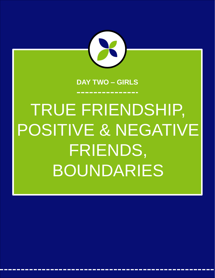

#### **DAY TWO – GIRLS**

# TRUE FRIENDSHIP, POSITIVE & NEGATIVE FRIENDS, BOUNDARIES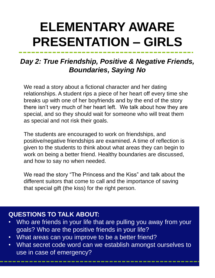## **ELEMENTARY AWARE PRESENTATION – GIRLS**

### *Day 2: True Friendship, Positive & Negative Friends, Boundaries, Saying No*

We read a story about a fictional character and her dating relationships. A student rips a piece of her heart off every time she breaks up with one of her boyfriends and by the end of the story there isn't very much of her heart left. We talk about how they are special, and so they should wait for someone who will treat them as special and not risk their goals.

The students are encouraged to work on friendships, and positive/negative friendships are examined. A time of reflection is given to the students to think about what areas they can begin to work on being a better friend. Healthy boundaries are discussed, and how to say no when needed.

We read the story "The Princess and the Kiss" and talk about the different suitors that come to call and the importance of saving that special gift (the kiss) for the right person.

- Who are friends in your life that are pulling you away from your goals? Who are the positive friends in your life?
- What areas can you improve to be a better friend?
- What secret code word can we establish amongst ourselves to use in case of emergency?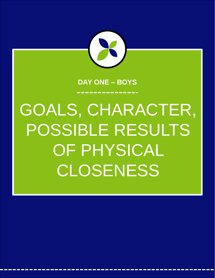

#### **DAY ONE – BOYS**

# GOALS, CHARACTER, POSSIBLE RESULTS OF PHYSICAL CLOSENESS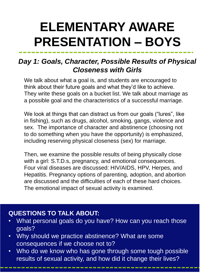## **ELEMENTARY AWARE PRESENTATION – BOYS**

### *Day 1: Goals, Character, Possible Results of Physical Closeness with Girls*

We talk about what a goal is, and students are encouraged to think about their future goals and what they'd like to achieve. They write these goals on a bucket list. We talk about marriage as a possible goal and the characteristics of a successful marriage.

We look at things that can distract us from our goals ("lures", like in fishing), such as drugs, alcohol, smoking, gangs, violence and sex. The importance of character and abstinence (choosing not to do something when you have the opportunity) is emphasized, including reserving physical closeness (sex) for marriage.

Then, we examine the possible results of being physically close with a girl: S.T.D.s, pregnancy, and emotional consequences. Four viral diseases are discussed: HIV/AIDS, HPV, Herpes, and Hepatitis. Pregnancy options of parenting, adoption, and abortion are discussed and the difficulties of each of these hard choices. The emotional impact of sexual activity is examined.

- What personal goals do you have? How can you reach those goals?
- Why should we practice abstinence? What are some consequences if we choose not to?
- Who do we know who has gone through some tough possible results of sexual activity, and how did it change their lives?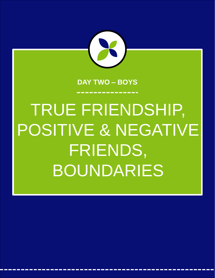

#### **DAY TWO – BOYS**

# TRUE FRIENDSHIP, POSITIVE & NEGATIVE FRIENDS,

BOUNDARIES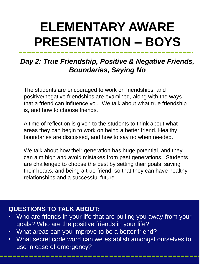## **ELEMENTARY AWARE PRESENTATION – BOYS**

### *Day 2: True Friendship, Positive & Negative Friends, Boundaries, Saying No*

The students are encouraged to work on friendships, and positive/negative friendships are examined, along with the ways that a friend can influence you We talk about what true friendship is, and how to choose friends.

A time of reflection is given to the students to think about what areas they can begin to work on being a better friend. Healthy boundaries are discussed, and how to say no when needed.

We talk about how their generation has huge potential, and they can aim high and avoid mistakes from past generations. Students are challenged to choose the best by setting their goals, saving their hearts, and being a true friend, so that they can have healthy relationships and a successful future.

- Who are friends in your life that are pulling you away from your goals? Who are the positive friends in your life?
- What areas can you improve to be a better friend?
- What secret code word can we establish amongst ourselves to use in case of emergency?